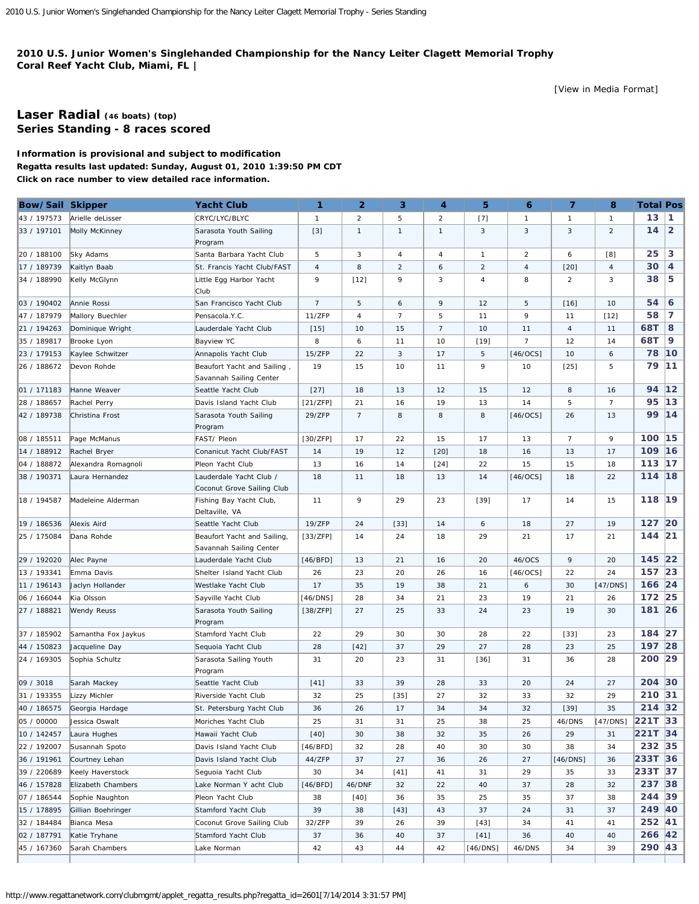## <span id="page-0-0"></span>**2010 U.S. Junior Women's Singlehanded Championship for the Nancy Leiter Clagett Memorial Trophy Coral Reef Yacht Club, Miami, FL |**

[\[View in Media Format](http://www.regattanetwork.com/clubmgmt/applet_regatta_results.php?regatta_id=2601&media_format=1)]

## **[Laser Radial](http://www.regattanetwork.com/clubmgmt/applet_regatta_results.php?regatta_id=2601&limit_fleet=Laser+Radial) (46 boats) [\(top\)](#page-0-0) Series Standing - 8 races scored**

## **Information is provisional and subject to modification Regatta results last updated: Sunday, August 01, 2010 1:39:50 PM CDT Click on race number to view detailed race information.**

| Bow/Sail Skipper |                             | <b>Yacht Club</b>                                      | 1              | $\overline{2}$ | 3              | $\overline{\mathbf{4}}$ | 5              | 6              | $\overline{7}$ | 8              | <b>Total Pos</b> |                |
|------------------|-----------------------------|--------------------------------------------------------|----------------|----------------|----------------|-------------------------|----------------|----------------|----------------|----------------|------------------|----------------|
| 43 / 197573      | Arielle deLisser            | CRYC/LYC/BLYC                                          | $\mathbf{1}$   | $\overline{2}$ | 5              | $\overline{2}$          | $[7]$          | $\mathbf{1}$   | $\mathbf{1}$   | $\mathbf{1}$   | 13               | $\mathbf{1}$   |
| 33 / 197101      | Molly McKinney              | Sarasota Youth Sailing<br>Program                      | $[3]$          | $\mathbf{1}$   | $\mathbf{1}$   | $\mathbf{1}$            | 3              | 3              | 3              | 2              | 14               | $\overline{2}$ |
| 20 / 188100      | Sky Adams                   | Santa Barbara Yacht Club                               | 5              | 3              | 4              | $\overline{4}$          | $\mathbf{1}$   | $\overline{2}$ | 6              | [8]            | 25               | 3              |
| 17 / 189739      | Kaitlyn Baab                | St. Francis Yacht Club/FAST                            | $\overline{4}$ | 8              | $\overline{a}$ | 6                       | $\overline{2}$ | $\overline{4}$ | $[20]$         | $\overline{4}$ | 30               | 4              |
| 34 / 188990      | Kelly McGlynn               | Little Egg Harbor Yacht<br>Club                        | 9              | $[12]$         | 9              | 3                       | 4              | 8              | $\overline{2}$ | 3              | 38               | 5              |
| 03 / 190402      | Annie Rossi                 | San Francisco Yacht Club                               | $\overline{7}$ | 5              | 6              | 9                       | 12             | 5              | $[16]$         | 10             | 54               | 6              |
| 47 / 187979      | Mallory Buechler            | Pensacola.Y.C.                                         | 11/ZFP         | $\overline{4}$ | 7              | 5                       | 11             | 9              | 11             | $[12]$         | 58               | 7              |
| 21 / 194263      | Dominique Wright            | Lauderdale Yacht Club                                  | $[15]$         | 10             | 15             | $\overline{7}$          | 10             | 11             | 4              | 11             | 68T              | 8              |
| 35 / 189817      | Brooke Lyon                 | <b>Bayview YC</b>                                      | 8              | 6              | 11             | 10                      | $[19]$         | $\overline{7}$ | 12             | 14             | 68T              | 9              |
| 23 / 179153      | Kaylee Schwitzer            | Annapolis Yacht Club                                   | 15/ZFP         | 22             | 3              | 17                      | 5              | $[46/0CS]$     | 10             | 6              | 78               | 10             |
| 26 / 188672      | Devon Rohde                 | Beaufort Yacht and Sailing,<br>Savannah Sailing Center | 19             | 15             | 10             | 11                      | 9              | 10             | $[25]$         | 5              | 79               | 11             |
| 01 / 171183      | Hanne Weaver                | Seattle Yacht Club                                     | $[27]$         | 18             | 13             | 12                      | 15             | 12             | 8              | 16             | 94               | $12$           |
| 28 / 188657      | Rachel Perry                | Davis Island Yacht Club                                | [21/ZFP]       | 21             | 16             | 19                      | 13             | 14             | 5              | $\overline{7}$ | 95               | 13             |
| 42 / 189738      | Christina Frost             | Sarasota Youth Sailing<br>Program                      | 29/ZFP         | $\overline{7}$ | 8              | 8                       | 8              | $[46/0CS]$     | 26             | 13             | 99               | 14             |
| 08 / 185511      | Page McManus                | FAST/ Pleon                                            | [30/ZFP]       | 17             | 22             | 15                      | 17             | 13             | $\overline{7}$ | 9              | 100 15           |                |
| 14 / 188912      | Rachel Bryer                | Conanicut Yacht Club/FAST                              | 14             | 19             | 12             | $[20]$                  | 18             | 16             | 13             | 17             | 109              | 16             |
| 04 / 188872      | Alexandra Romagnoli         | Pleon Yacht Club                                       | 13             | 16             | 14             | $[24]$                  | 22             | 15             | 15             | 18             | 113              | 17             |
| 38 / 190371      | Laura Hernandez             | Lauderdale Yacht Club /<br>Coconut Grove Sailing Club  | 18             | 11             | 18             | 13                      | 14             | $[46/0CS]$     | 18             | 22             | 114              | 18             |
| 18 / 194587      | Madeleine Alderman          | Fishing Bay Yacht Club,<br>Deltaville, VA              | 11             | 9              | 29             | 23                      | $[39]$         | 17             | 14             | 15             | 118 19           |                |
| 19 / 186536      | Alexis Aird                 | Seattle Yacht Club                                     | 19/ZFP         | 24             | $[33]$         | 14                      | 6              | 18             | 27             | 19             | 127 20           |                |
| 25 / 175084      | Dana Rohde                  | Beaufort Yacht and Sailing,<br>Savannah Sailing Center | [33/ZFP]       | 14             | 24             | 18                      | 29             | 21             | 17             | 21             | 144 21           |                |
| 29 / 192020      | Alec Payne                  | Lauderdale Yacht Club                                  | [46/BFD]       | 13             | 21             | 16                      | 20             | 46/OCS         | 9              | 20             | 145              | 22             |
| 13 / 193341      | Emma Davis                  | Shelter Island Yacht Club                              | 26             | 23             | 20             | 26                      | 16             | $[46/0CS]$     | 22             | 24             | 157              | 23             |
| 11 / 196143      | Jaclyn Hollander            | Westlake Yacht Club                                    | 17             | 35             | 19             | 38                      | 21             | 6              | 30             | [47/DNS]       | 166              | 24             |
| 06 / 166044      | Kia Olsson                  | Sayville Yacht Club                                    | [46/DNS]       | 28             | 34             | 21                      | 23             | 19             | 21             | 26             | 172 25           |                |
| 27 / 188821      | <b>Wendy Reuss</b>          | Sarasota Youth Sailing<br>Program                      | [38/ZFP]       | 27             | 25             | 33                      | 24             | 23             | 19             | 30             | 181 26           |                |
| 37 / 185902      | Samantha Fox Jaykus         | Stamford Yacht Club                                    | 22             | 29             | 30             | 30                      | 28             | 22             | $[33]$         | 23             | 184 27           |                |
| 44 / 150823      | Jacqueline Day              | Sequoia Yacht Club                                     | 28             | $[42]$         | 37             | 29                      | 27             | 28             | 23             | 25             | 197              | 28             |
| 24 / 169305      | Sophia Schultz              | Sarasota Sailing Youth<br>Program                      | 31             | 20             | 23             | 31                      | $[36]$         | 31             | 36             | 28             | 200 29           |                |
| 09 / 3018        | Sarah Mackey                | Seattle Yacht Club                                     | $[41]$         | 33             | 39             | 28                      | 33             | 20             | 24             | 27             | 204              | 30             |
| 31 / 193355      | <b>Lizzy Michler</b>        | Riverside Yacht Club                                   | 32             | 25             | $[35]$         | 27                      | 32             | 33             | 32             | 29             | 210 31           |                |
|                  | 40 / 186575 Georgia Hardage | St. Petersburg Yacht Club                              | 36             | 26             | 17             | 34                      | 34             | 32             | $[39]$         | 35             | 214 32           |                |
| 05 / 00000       | Jessica Oswalt              | Moriches Yacht Club                                    | 25             | 31             | 31             | 25                      | 38             | 25             | 46/DNS         | [47/DNS]       | 221T 33          |                |
| 10 / 142457      | Laura Hughes                | Hawaii Yacht Club                                      | $[40]$         | 30             | 38             | 32                      | 35             | 26             | 29             | 31             | 221T 34          |                |
| 22 / 192007      | Susannah Spoto              | Davis Island Yacht Club                                | [46/BFD]       | 32             | 28             | 40                      | 30             | 30             | 38             | 34             | 232 35           |                |
| 36 / 191961      | Courtney Lehan              | Davis Island Yacht Club                                | 44/ZFP         | 37             | 27             | 36                      | 26             | 27             | [46/DNS]       | 36             | 233T 36          |                |
| 39 / 220689      | Keely Haverstock            | Seguoia Yacht Club                                     | 30             | 34             | [41]           | 41                      | 31             | 29             | 35             | 33             | 233T 37          |                |
| 46 / 157828      | Elizabeth Chambers          | Lake Norman Y acht Club                                | [46/BFD]       | 46/DNF         | 32             | 22                      | 40             | 37             | 28             | 32             | 237 38           |                |
| 07 / 186544      | Sophie Naughton             | Pleon Yacht Club                                       | 38             | [40]           | 36             | 35                      | 25             | 35             | 37             | 38             | 244 39           |                |
| 15 / 178895      | Gillian Boehringer          | Stamford Yacht Club                                    | 39             | 38             | $[43]$         | 43                      | 37             | 24             | 31             | 37             | 249 40           |                |
| 32 / 184484      | Bianca Mesa                 | Coconut Grove Sailing Club                             | 32/ZFP         | 39             | 26             | 39                      | $[43]$         | 34             | 41             | 41             | 252 41           |                |
| 02 / 187791      | Katie Tryhane               | Stamford Yacht Club                                    | 37             | 36             | 40             | 37                      | $[41]$         | 36             | 40             | 40             | 266 42           |                |
| 45 / 167360      | Sarah Chambers              | Lake Norman                                            | 42             | 43             | 44             | 42                      | [46/DNS]       | 46/DNS         | 34             | 39             | 290 43           |                |